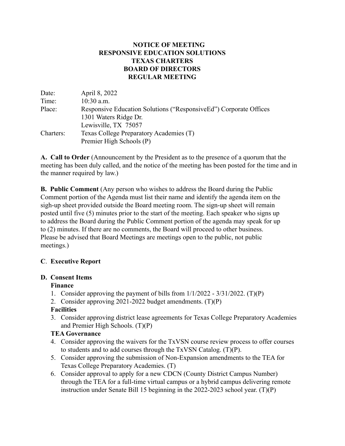## **NOTICE OF MEETING RESPONSIVE EDUCATION SOLUTIONS TEXAS CHARTERS BOARD OF DIRECTORS REGULAR MEETING**

| Date:     | April 8, 2022                                                      |
|-----------|--------------------------------------------------------------------|
| Time:     | $10:30$ a.m.                                                       |
| Place:    | Responsive Education Solutions ("Responsive Ed") Corporate Offices |
|           | 1301 Waters Ridge Dr.                                              |
|           | Lewisville, TX 75057                                               |
| Charters: | Texas College Preparatory Academies (T)                            |
|           | Premier High Schools (P)                                           |

**A. Call to Order** (Announcement by the President as to the presence of a quorum that the meeting has been duly called, and the notice of the meeting has been posted for the time and in the manner required by law.)

**B. Public Comment** (Any person who wishes to address the Board during the Public Comment portion of the Agenda must list their name and identify the agenda item on the sigh-up sheet provided outside the Board meeting room. The sign-up sheet will remain posted until five (5) minutes prior to the start of the meeting. Each speaker who signs up to address the Board during the Public Comment portion of the agenda may speak for up to (2) minutes. If there are no comments, the Board will proceed to other business. Please be advised that Board Meetings are meetings open to the public, not public meetings.)

## **C**. **Executive Report**

## **D. Consent Items**

# **Finance**

- 1. Consider approving the payment of bills from 1/1/2022 3/31/2022. (T)(P)
- 2. Consider approving 2021-2022 budget amendments. (T)(P)

# **Facilities**

3. Consider approving district lease agreements for Texas College Preparatory Academies and Premier High Schools. (T)(P)

# **TEA Governance**

- 4. Consider approving the waivers for the TxVSN course review process to offer courses to students and to add courses through the TxVSN Catalog. (T)(P).
- 5. Consider approving the submission of Non-Expansion amendments to the TEA for Texas College Preparatory Academies. (T)
- 6. Consider approval to apply for a new CDCN (County District Campus Number) through the TEA for a full-time virtual campus or a hybrid campus delivering remote instruction under Senate Bill 15 beginning in the 2022-2023 school year. (T)(P)